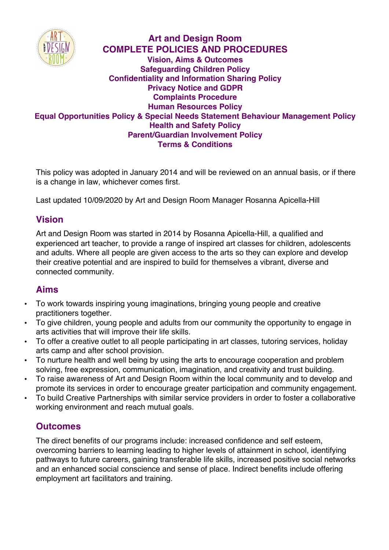

# **Art and Design Room COMPLETE POLICIES AND PROCEDURES Vision, Aims & Outcomes Safeguarding Children Policy Confidentiality and Information Sharing Policy Privacy Notice and GDPR Complaints Procedure Human Resources Policy Equal Opportunities Policy & Special Needs Statement Behaviour Management Policy Health and Safety Policy Parent/Guardian Involvement Policy Terms & Conditions**

This policy was adopted in January 2014 and will be reviewed on an annual basis, or if there is a change in law, whichever comes first.

Last updated 10/09/2020 by Art and Design Room Manager Rosanna Apicella-Hill

# **Vision**

Art and Design Room was started in 2014 by Rosanna Apicella-Hill, a qualified and experienced art teacher, to provide a range of inspired art classes for children, adolescents and adults. Where all people are given access to the arts so they can explore and develop their creative potential and are inspired to build for themselves a vibrant, diverse and connected community.

# **Aims**

- To work towards inspiring young imaginations, bringing young people and creative practitioners together.
- To give children, young people and adults from our community the opportunity to engage in arts activities that will improve their life skills.
- To offer a creative outlet to all people participating in art classes, tutoring services, holiday arts camp and after school provision.
- To nurture health and well being by using the arts to encourage cooperation and problem solving, free expression, communication, imagination, and creativity and trust building.
- To raise awareness of Art and Design Room within the local community and to develop and promote its services in order to encourage greater participation and community engagement.
- To build Creative Partnerships with similar service providers in order to foster a collaborative working environment and reach mutual goals.

# **Outcomes**

The direct benefits of our programs include: increased confidence and self esteem, overcoming barriers to learning leading to higher levels of attainment in school, identifying pathways to future careers, gaining transferable life skills, increased positive social networks and an enhanced social conscience and sense of place. Indirect benefits include offering employment art facilitators and training.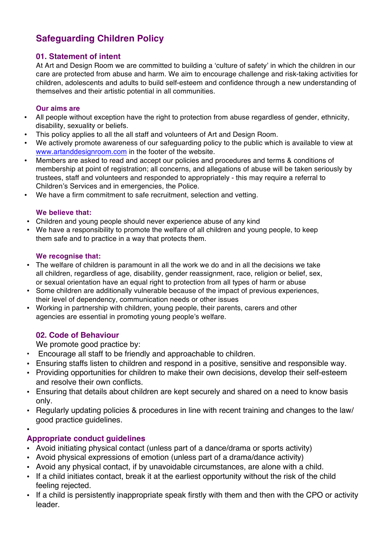# **Safeguarding Children Policy**

### **01. Statement of intent**

At Art and Design Room we are committed to building a 'culture of safety' in which the children in our care are protected from abuse and harm. We aim to encourage challenge and risk-taking activities for children, adolescents and adults to build self-esteem and confidence through a new understanding of themselves and their artistic potential in all communities.

#### **Our aims are**

- All people without exception have the right to protection from abuse regardless of gender, ethnicity, disability, sexuality or beliefs.
- This policy applies to all the all staff and volunteers of Art and Design Room.
- We actively promote awareness of our safeguarding policy to the public which is available to view at www.artanddesignroom.com in the footer of the website.
- Members are asked to read and accept our policies and procedures and terms & conditions of membership at point of registration; all concerns, and allegations of abuse will be taken seriously by trustees, staff and volunteers and responded to appropriately - this may require a referral to Children's Services and in emergencies, the Police.
- We have a firm commitment to safe recruitment, selection and vetting.

#### **We believe that:**

- Children and young people should never experience abuse of any kind
- We have a responsibility to promote the welfare of all children and young people, to keep them safe and to practice in a way that protects them.

#### **We recognise that:**

- The welfare of children is paramount in all the work we do and in all the decisions we take all children, regardless of age, disability, gender reassignment, race, religion or belief, sex, or sexual orientation have an equal right to protection from all types of harm or abuse
- Some children are additionally vulnerable because of the impact of previous experiences, their level of dependency, communication needs or other issues
- Working in partnership with children, young people, their parents, carers and other agencies are essential in promoting young people's welfare.

# **02. Code of Behaviour**

We promote good practice by:

- Encourage all staff to be friendly and approachable to children.
- Ensuring staffs listen to children and respond in a positive, sensitive and responsible way.
- Providing opportunities for children to make their own decisions, develop their self-esteem and resolve their own conflicts.
- Ensuring that details about children are kept securely and shared on a need to know basis only.
- Regularly updating policies & procedures in line with recent training and changes to the law/ good practice guidelines.
- •

# **Appropriate conduct guidelines**

- Avoid initiating physical contact (unless part of a dance/drama or sports activity)
- Avoid physical expressions of emotion (unless part of a drama/dance activity)
- Avoid any physical contact, if by unavoidable circumstances, are alone with a child.
- If a child initiates contact, break it at the earliest opportunity without the risk of the child feeling rejected.
- If a child is persistently inappropriate speak firstly with them and then with the CPO or activity leader.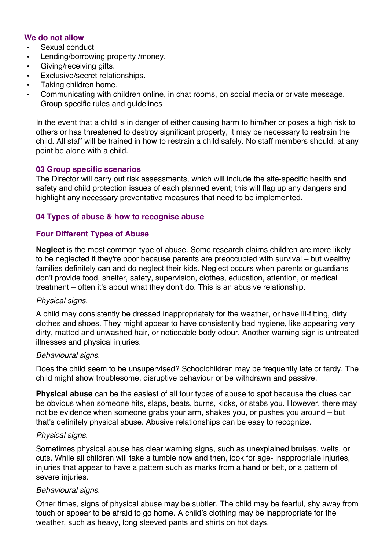#### **We do not allow**

- Sexual conduct
- Lending/borrowing property /money.
- Giving/receiving gifts.
- Exclusive/secret relationships.
- Taking children home.
- Communicating with children online, in chat rooms, on social media or private message. Group specific rules and guidelines

In the event that a child is in danger of either causing harm to him/her or poses a high risk to others or has threatened to destroy significant property, it may be necessary to restrain the child. All staff will be trained in how to restrain a child safely. No staff members should, at any point be alone with a child.

#### **03 Group specific scenarios**

The Director will carry out risk assessments, which will include the site-specific health and safety and child protection issues of each planned event; this will flag up any dangers and highlight any necessary preventative measures that need to be implemented.

#### **04 Types of abuse & how to recognise abuse**

#### **Four Different Types of Abuse**

**Neglect** is the most common type of abuse. Some research claims children are more likely to be neglected if they're poor because parents are preoccupied with survival – but wealthy families definitely can and do neglect their kids. Neglect occurs when parents or guardians don't provide food, shelter, safety, supervision, clothes, education, attention, or medical treatment – often it's about what they don't do. This is an abusive relationship.

#### *Physical signs.*

A child may consistently be dressed inappropriately for the weather, or have ill-fitting, dirty clothes and shoes. They might appear to have consistently bad hygiene, like appearing very dirty, matted and unwashed hair, or noticeable body odour. Another warning sign is untreated illnesses and physical injuries.

#### *Behavioural signs.*

Does the child seem to be unsupervised? Schoolchildren may be frequently late or tardy. The child might show troublesome, disruptive behaviour or be withdrawn and passive.

**Physical abuse** can be the easiest of all four types of abuse to spot because the clues can be obvious when someone hits, slaps, beats, burns, kicks, or stabs you. However, there may not be evidence when someone grabs your arm, shakes you, or pushes you around – but that's definitely physical abuse. Abusive relationships can be easy to recognize.

#### *Physical signs.*

Sometimes physical abuse has clear warning signs, such as unexplained bruises, welts, or cuts. While all children will take a tumble now and then, look for age- inappropriate injuries, injuries that appear to have a pattern such as marks from a hand or belt, or a pattern of severe injuries.

#### *Behavioural signs.*

Other times, signs of physical abuse may be subtler. The child may be fearful, shy away from touch or appear to be afraid to go home. A child's clothing may be inappropriate for the weather, such as heavy, long sleeved pants and shirts on hot days.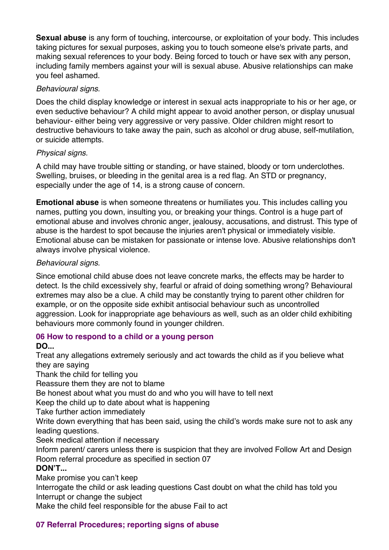**Sexual abuse** is any form of touching, intercourse, or exploitation of your body. This includes taking pictures for sexual purposes, asking you to touch someone else's private parts, and making sexual references to your body. Being forced to touch or have sex with any person, including family members against your will is sexual abuse. Abusive relationships can make you feel ashamed.

### *Behavioural signs.*

Does the child display knowledge or interest in sexual acts inappropriate to his or her age, or even seductive behaviour? A child might appear to avoid another person, or display unusual behaviour- either being very aggressive or very passive. Older children might resort to destructive behaviours to take away the pain, such as alcohol or drug abuse, self-mutilation, or suicide attempts.

### *Physical signs.*

A child may have trouble sitting or standing, or have stained, bloody or torn underclothes. Swelling, bruises, or bleeding in the genital area is a red flag. An STD or pregnancy, especially under the age of 14, is a strong cause of concern.

**Emotional abuse** is when someone threatens or humiliates you. This includes calling you names, putting you down, insulting you, or breaking your things. Control is a huge part of emotional abuse and involves chronic anger, jealousy, accusations, and distrust. This type of abuse is the hardest to spot because the injuries aren't physical or immediately visible. Emotional abuse can be mistaken for passionate or intense love. Abusive relationships don't always involve physical violence.

### *Behavioural signs.*

Since emotional child abuse does not leave concrete marks, the effects may be harder to detect. Is the child excessively shy, fearful or afraid of doing something wrong? Behavioural extremes may also be a clue. A child may be constantly trying to parent other children for example, or on the opposite side exhibit antisocial behaviour such as uncontrolled aggression. Look for inappropriate age behaviours as well, such as an older child exhibiting behaviours more commonly found in younger children.

#### **06 How to respond to a child or a young person**

# **DO...**

Treat any allegations extremely seriously and act towards the child as if you believe what they are saying

Thank the child for telling you

Reassure them they are not to blame

Be honest about what you must do and who you will have to tell next

Keep the child up to date about what is happening

Take further action immediately

Write down everything that has been said, using the child's words make sure not to ask any leading questions.

Seek medical attention if necessary

Inform parent/ carers unless there is suspicion that they are involved Follow Art and Design Room referral procedure as specified in section 07

# **DON'T...**

Make promise you can't keep

Interrogate the child or ask leading questions Cast doubt on what the child has told you Interrupt or change the subject

Make the child feel responsible for the abuse Fail to act

# **07 Referral Procedures; reporting signs of abuse**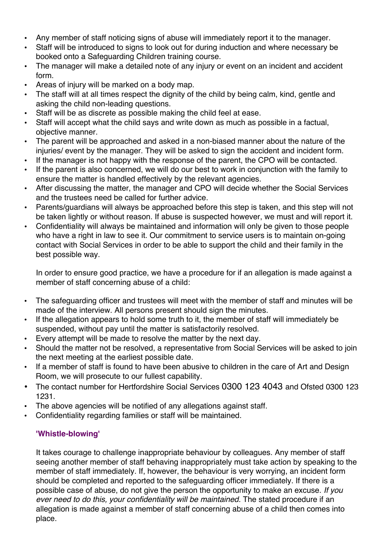- Any member of staff noticing signs of abuse will immediately report it to the manager.
- Staff will be introduced to signs to look out for during induction and where necessary be booked onto a Safeguarding Children training course.
- The manager will make a detailed note of any injury or event on an incident and accident form.
- Areas of injury will be marked on a body map.
- The staff will at all times respect the dignity of the child by being calm, kind, gentle and asking the child non-leading questions.
- Staff will be as discrete as possible making the child feel at ease.
- Staff will accept what the child says and write down as much as possible in a factual, objective manner.
- The parent will be approached and asked in a non-biased manner about the nature of the injuries/ event by the manager. They will be asked to sign the accident and incident form.
- If the manager is not happy with the response of the parent, the CPO will be contacted.
- If the parent is also concerned, we will do our best to work in conjunction with the family to ensure the matter is handled effectively by the relevant agencies.
- After discussing the matter, the manager and CPO will decide whether the Social Services and the trustees need be called for further advice.
- Parents/guardians will always be approached before this step is taken, and this step will not be taken lightly or without reason. If abuse is suspected however, we must and will report it.
- Confidentiality will always be maintained and information will only be given to those people who have a right in law to see it. Our commitment to service users is to maintain on-going contact with Social Services in order to be able to support the child and their family in the best possible way.

In order to ensure good practice, we have a procedure for if an allegation is made against a member of staff concerning abuse of a child:

- The safeguarding officer and trustees will meet with the member of staff and minutes will be made of the interview. All persons present should sign the minutes.
- If the allegation appears to hold some truth to it, the member of staff will immediately be suspended, without pay until the matter is satisfactorily resolved.
- Every attempt will be made to resolve the matter by the next day.
- Should the matter not be resolved, a representative from Social Services will be asked to join the next meeting at the earliest possible date.
- If a member of staff is found to have been abusive to children in the care of Art and Design Room, we will prosecute to our fullest capability.
- The contact number for Hertfordshire Social Services 0300 123 4043 and Ofsted 0300 123 1231.
- The above agencies will be notified of any allegations against staff.
- Confidentiality regarding families or staff will be maintained.

# **'Whistle-blowing'**

It takes courage to challenge inappropriate behaviour by colleagues. Any member of staff seeing another member of staff behaving inappropriately must take action by speaking to the member of staff immediately. If, however, the behaviour is very worrying, an incident form should be completed and reported to the safeguarding officer immediately. If there is a possible case of abuse, do not give the person the opportunity to make an excuse. *If you ever need to do this, your confidentiality will be maintained.* The stated procedure if an allegation is made against a member of staff concerning abuse of a child then comes into place.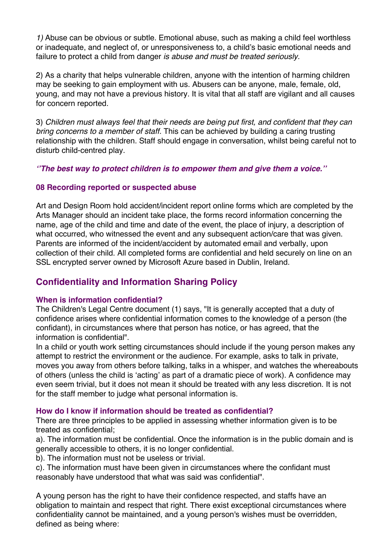*1)* Abuse can be obvious or subtle. Emotional abuse, such as making a child feel worthless or inadequate, and neglect of, or unresponsiveness to, a child's basic emotional needs and failure to protect a child from danger *is abuse and must be treated seriously.* 

2) As a charity that helps vulnerable children, anyone with the intention of harming children may be seeking to gain employment with us. Abusers can be anyone, male, female, old, young, and may not have a previous history. It is vital that all staff are vigilant and all causes for concern reported.

3) *Children must always feel that their needs are being put first, and confident that they can bring concerns to a member of staff.* This can be achieved by building a caring trusting relationship with the children. Staff should engage in conversation, whilst being careful not to disturb child-centred play.

*''The best way to protect children is to empower them and give them a voice.''*

### **08 Recording reported or suspected abuse**

Art and Design Room hold accident/incident report online forms which are completed by the Arts Manager should an incident take place, the forms record information concerning the name, age of the child and time and date of the event, the place of injury, a description of what occurred, who witnessed the event and any subsequent action/care that was given. Parents are informed of the incident/accident by automated email and verbally, upon collection of their child. All completed forms are confidential and held securely on line on an SSL encrypted server owned by Microsoft Azure based in Dublin, Ireland.

# **Confidentiality and Information Sharing Policy**

# **When is information confidential?**

The Children's Legal Centre document (1) says, "It is generally accepted that a duty of confidence arises where confidential information comes to the knowledge of a person (the confidant), in circumstances where that person has notice, or has agreed, that the information is confidential".

In a child or youth work setting circumstances should include if the young person makes any attempt to restrict the environment or the audience. For example, asks to talk in private, moves you away from others before talking, talks in a whisper, and watches the whereabouts of others (unless the child is 'acting' as part of a dramatic piece of work). A confidence may even seem trivial, but it does not mean it should be treated with any less discretion. It is not for the staff member to judge what personal information is.

#### **How do I know if information should be treated as confidential?**

There are three principles to be applied in assessing whether information given is to be treated as confidential;

a). The information must be confidential. Once the information is in the public domain and is generally accessible to others, it is no longer confidential.

b). The information must not be useless or trivial.

c). The information must have been given in circumstances where the confidant must reasonably have understood that what was said was confidential".

A young person has the right to have their confidence respected, and staffs have an obligation to maintain and respect that right. There exist exceptional circumstances where confidentiality cannot be maintained, and a young person's wishes must be overridden, defined as being where: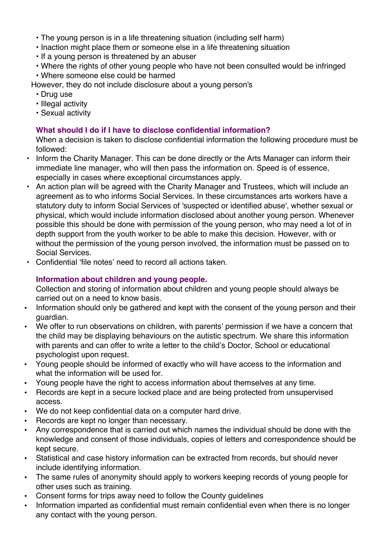- The young person is in a life threatening situation (including self harm)
- Inaction might place them or someone else in a life threatening situation
- If a young person is threatened by an abuser
- Where the rights of other young people who have not been consulted would be infringed
- Where someone else could be harmed

However, they do not include disclosure about a young person's

- Drug use
- Illegal activity
- Sexual activity

# **What should I do if I have to disclose confidential information?**

When a decision is taken to disclose confidential information the following procedure must be followed:

- Inform the Charity Manager. This can be done directly or the Arts Manager can inform their immediate line manager, who will then pass the information on. Speed is of essence, especially in cases where exceptional circumstances apply.
- An action plan will be agreed with the Charity Manager and Trustees, which will include an agreement as to who informs Social Services. In these circumstances arts workers have a statutory duty to inform Social Services of 'suspected or identified abuse', whether sexual or physical, which would include information disclosed about another young person. Whenever possible this should be done with permission of the young person, who may need a lot of in depth support from the youth worker to be able to make this decision. However, with or without the permission of the young person involved, the information must be passed on to Social Services.
- Confidential 'file notes' need to record all actions taken.

# **Information about children and young people.**

Collection and storing of information about children and young people should always be carried out on a need to know basis.

- Information should only be gathered and kept with the consent of the young person and their guardian.
- We offer to run observations on children, with parents' permission if we have a concern that the child may be displaying behaviours on the autistic spectrum. We share this information with parents and can offer to write a letter to the child's Doctor, School or educational psychologist upon request.
- Young people should be informed of exactly who will have access to the information and what the information will be used for.
- Young people have the right to access information about themselves at any time.
- Records are kept in a secure locked place and are being protected from unsupervised access.
- We do not keep confidential data on a computer hard drive.
- Records are kept no longer than necessary.
- Any correspondence that is carried out which names the individual should be done with the knowledge and consent of those individuals, copies of letters and correspondence should be kept secure.
- Statistical and case history information can be extracted from records, but should never include identifying information.
- The same rules of anonymity should apply to workers keeping records of young people for other uses such as training.
- Consent forms for trips away need to follow the County guidelines
- Information imparted as confidential must remain confidential even when there is no longer any contact with the young person.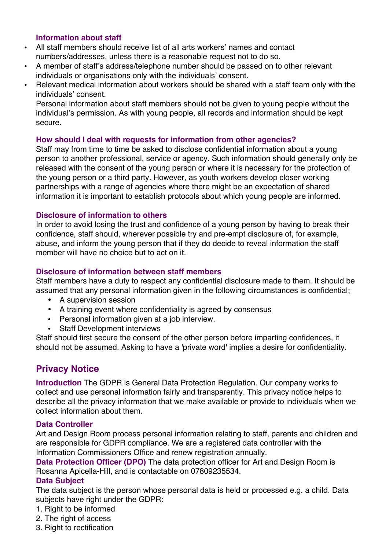#### **Information about staff**

- All staff members should receive list of all arts workers' names and contact numbers/addresses, unless there is a reasonable request not to do so.
- A member of staff's address/telephone number should be passed on to other relevant individuals or organisations only with the individuals' consent.
- Relevant medical information about workers should be shared with a staff team only with the individuals' consent.

Personal information about staff members should not be given to young people without the individual's permission. As with young people, all records and information should be kept secure.

#### **How should I deal with requests for information from other agencies?**

Staff may from time to time be asked to disclose confidential information about a young person to another professional, service or agency. Such information should generally only be released with the consent of the young person or where it is necessary for the protection of the young person or a third party. However, as youth workers develop closer working partnerships with a range of agencies where there might be an expectation of shared information it is important to establish protocols about which young people are informed.

#### **Disclosure of information to others**

In order to avoid losing the trust and confidence of a young person by having to break their confidence, staff should, wherever possible try and pre-empt disclosure of, for example, abuse, and inform the young person that if they do decide to reveal information the staff member will have no choice but to act on it.

#### **Disclosure of information between staff members**

Staff members have a duty to respect any confidential disclosure made to them. It should be assumed that any personal information given in the following circumstances is confidential;

- A supervision session
- A training event where confidentiality is agreed by consensus
- Personal information given at a job interview.
- Staff Development interviews

Staff should first secure the consent of the other person before imparting confidences, it should not be assumed. Asking to have a 'private word' implies a desire for confidentiality.

# **Privacy Notice**

**Introduction** The GDPR is General Data Protection Regulation. Our company works to collect and use personal information fairly and transparently. This privacy notice helps to describe all the privacy information that we make available or provide to individuals when we collect information about them.

#### **Data Controller**

Art and Design Room process personal information relating to staff, parents and children and are responsible for GDPR compliance. We are a registered data controller with the Information Commissioners Office and renew registration annually.

**Data Protection Officer (DPO)** The data protection officer for Art and Design Room is Rosanna Apicella-Hill, and is contactable on 07809235534.

#### **Data Subject**

The data subject is the person whose personal data is held or processed e.g. a child. Data subjects have right under the GDPR:

- 1. Right to be informed
- 2. The right of access
- 3. Right to rectification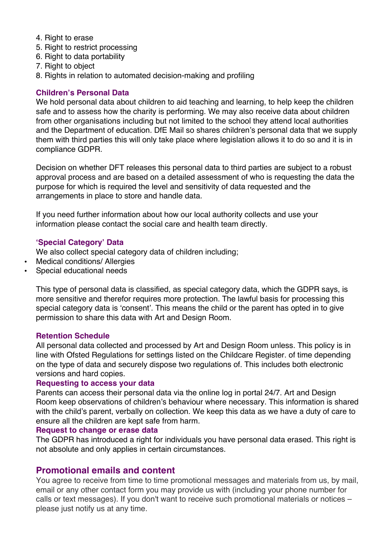- 4. Right to erase
- 5. Right to restrict processing
- 6. Right to data portability
- 7. Right to object
- 8. Rights in relation to automated decision-making and profiling

### **Children's Personal Data**

We hold personal data about children to aid teaching and learning, to help keep the children safe and to assess how the charity is performing. We may also receive data about children from other organisations including but not limited to the school they attend local authorities and the Department of education. DfE Mail so shares children's personal data that we supply them with third parties this will only take place where legislation allows it to do so and it is in compliance GDPR.

Decision on whether DFT releases this personal data to third parties are subject to a robust approval process and are based on a detailed assessment of who is requesting the data the purpose for which is required the level and sensitivity of data requested and the arrangements in place to store and handle data.

If you need further information about how our local authority collects and use your information please contact the social care and health team directly.

### **'Special Category' Data**

We also collect special category data of children including;

- Medical conditions/ Allergies
- Special educational needs

This type of personal data is classified, as special category data, which the GDPR says, is more sensitive and therefor requires more protection. The lawful basis for processing this special category data is 'consent'. This means the child or the parent has opted in to give permission to share this data with Art and Design Room.

#### **Retention Schedule**

All personal data collected and processed by Art and Design Room unless. This policy is in line with Ofsted Regulations for settings listed on the Childcare Register. of time depending on the type of data and securely dispose two regulations of. This includes both electronic versions and hard copies.

#### **Requesting to access your data**

Parents can access their personal data via the online log in portal 24/7. Art and Design Room keep observations of children's behaviour where necessary. This information is shared with the child's parent, verbally on collection. We keep this data as we have a duty of care to ensure all the children are kept safe from harm.

#### **Request to change or erase data**

The GDPR has introduced a right for individuals you have personal data erased. This right is not absolute and only applies in certain circumstances.

# **Promotional emails and content**

You agree to receive from time to time promotional messages and materials from us, by mail, email or any other contact form you may provide us with (including your phone number for calls or text messages). If you don't want to receive such promotional materials or notices – please just notify us at any time.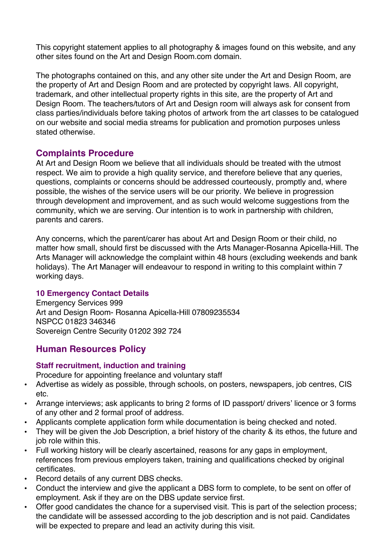This copyright statement applies to all photography & images found on this website, and any other sites found on the Art and Design Room.com domain.

The photographs contained on this, and any other site under the Art and Design Room, are the property of Art and Design Room and are protected by copyright laws. All copyright, trademark, and other intellectual property rights in this site, are the property of Art and Design Room. The teachers/tutors of Art and Design room will always ask for consent from class parties/individuals before taking photos of artwork from the art classes to be catalogued on our website and social media streams for publication and promotion purposes unless stated otherwise.

# **Complaints Procedure**

At Art and Design Room we believe that all individuals should be treated with the utmost respect. We aim to provide a high quality service, and therefore believe that any queries, questions, complaints or concerns should be addressed courteously, promptly and, where possible, the wishes of the service users will be our priority. We believe in progression through development and improvement, and as such would welcome suggestions from the community, which we are serving. Our intention is to work in partnership with children, parents and carers.

Any concerns, which the parent/carer has about Art and Design Room or their child, no matter how small, should first be discussed with the Arts Manager-Rosanna Apicella-Hill. The Arts Manager will acknowledge the complaint within 48 hours (excluding weekends and bank holidays). The Art Manager will endeavour to respond in writing to this complaint within 7 working days.

# **10 Emergency Contact Details**

Emergency Services 999 Art and Design Room- Rosanna Apicella-Hill 07809235534 NSPCC 01823 346346 Sovereign Centre Security 01202 392 724

# **Human Resources Policy**

# **Staff recruitment, induction and training**

Procedure for appointing freelance and voluntary staff

- Advertise as widely as possible, through schools, on posters, newspapers, job centres, CIS etc.
- Arrange interviews; ask applicants to bring 2 forms of ID passport/ drivers' licence or 3 forms of any other and 2 formal proof of address.
- Applicants complete application form while documentation is being checked and noted.
- They will be given the Job Description, a brief history of the charity & its ethos, the future and iob role within this.
- Full working history will be clearly ascertained, reasons for any gaps in employment, references from previous employers taken, training and qualifications checked by original certificates.
- Record details of any current DBS checks.
- Conduct the interview and give the applicant a DBS form to complete, to be sent on offer of employment. Ask if they are on the DBS update service first.
- Offer good candidates the chance for a supervised visit. This is part of the selection process; the candidate will be assessed according to the job description and is not paid. Candidates will be expected to prepare and lead an activity during this visit.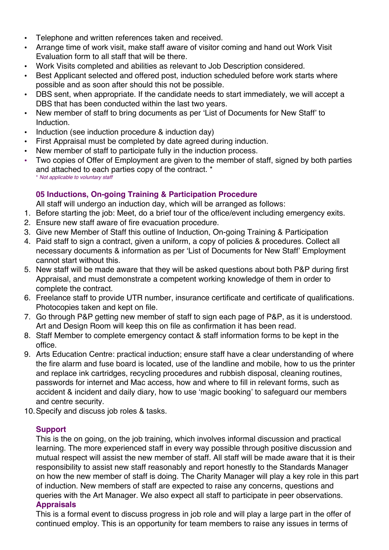- Telephone and written references taken and received.
- Arrange time of work visit, make staff aware of visitor coming and hand out Work Visit Evaluation form to all staff that will be there.
- Work Visits completed and abilities as relevant to Job Description considered.
- Best Applicant selected and offered post, induction scheduled before work starts where possible and as soon after should this not be possible.
- DBS sent, when appropriate. If the candidate needs to start immediately, we will accept a DBS that has been conducted within the last two years.
- New member of staff to bring documents as per 'List of Documents for New Staff' to Induction.
- Induction (see induction procedure & induction day)
- First Appraisal must be completed by date agreed during induction.
- New member of staff to participate fully in the induction process.
- Two copies of Offer of Employment are given to the member of staff, signed by both parties and attached to each parties copy of the contract. \* \* *Not applicable to voluntary staff*

# **05 Inductions, On-going Training & Participation Procedure**

All staff will undergo an induction day, which will be arranged as follows:

- 1. Before starting the job: Meet, do a brief tour of the office/event including emergency exits.
- 2. Ensure new staff aware of fire evacuation procedure.
- 3. Give new Member of Staff this outline of Induction, On-going Training & Participation
- 4. Paid staff to sign a contract, given a uniform, a copy of policies & procedures. Collect all necessary documents & information as per 'List of Documents for New Staff' Employment cannot start without this.
- 5. New staff will be made aware that they will be asked questions about both P&P during first Appraisal, and must demonstrate a competent working knowledge of them in order to complete the contract.
- 6. Freelance staff to provide UTR number, insurance certificate and certificate of qualifications. Photocopies taken and kept on file.
- 7. Go through P&P getting new member of staff to sign each page of P&P, as it is understood. Art and Design Room will keep this on file as confirmation it has been read.
- 8. Staff Member to complete emergency contact & staff information forms to be kept in the office.
- 9. Arts Education Centre: practical induction; ensure staff have a clear understanding of where the fire alarm and fuse board is located, use of the landline and mobile, how to us the printer and replace ink cartridges, recycling procedures and rubbish disposal, cleaning routines, passwords for internet and Mac access, how and where to fill in relevant forms, such as accident & incident and daily diary, how to use 'magic booking' to safeguard our members and centre security.
- 10.Specify and discuss job roles & tasks.

# **Support**

This is the on going, on the job training, which involves informal discussion and practical learning. The more experienced staff in every way possible through positive discussion and mutual respect will assist the new member of staff. All staff will be made aware that it is their responsibility to assist new staff reasonably and report honestly to the Standards Manager on how the new member of staff is doing. The Charity Manager will play a key role in this part of induction. New members of staff are expected to raise any concerns, questions and queries with the Art Manager. We also expect all staff to participate in peer observations. **Appraisals** 

This is a formal event to discuss progress in job role and will play a large part in the offer of continued employ. This is an opportunity for team members to raise any issues in terms of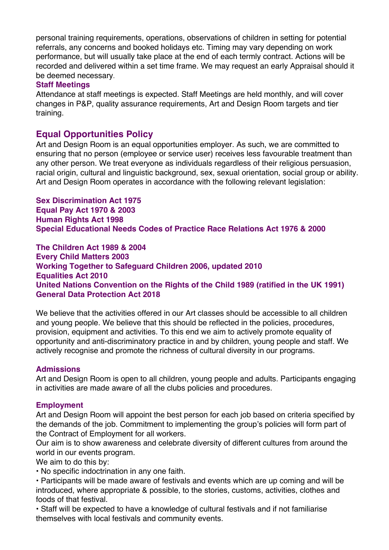personal training requirements, operations, observations of children in setting for potential referrals, any concerns and booked holidays etc. Timing may vary depending on work performance, but will usually take place at the end of each termly contract. Actions will be recorded and delivered within a set time frame. We may request an early Appraisal should it be deemed necessary.

#### **Staff Meetings**

Attendance at staff meetings is expected. Staff Meetings are held monthly, and will cover changes in P&P, quality assurance requirements, Art and Design Room targets and tier training.

# **Equal Opportunities Policy**

Art and Design Room is an equal opportunities employer. As such, we are committed to ensuring that no person (employee or service user) receives less favourable treatment than any other person. We treat everyone as individuals regardless of their religious persuasion, racial origin, cultural and linguistic background, sex, sexual orientation, social group or ability. Art and Design Room operates in accordance with the following relevant legislation:

**Sex Discrimination Act 1975**

**Equal Pay Act 1970 & 2003 Human Rights Act 1998 Special Educational Needs Codes of Practice Race Relations Act 1976 & 2000** 

**The Children Act 1989 & 2004 Every Child Matters 2003 Working Together to Safeguard Children 2006, updated 2010 Equalities Act 2010 United Nations Convention on the Rights of the Child 1989 (ratified in the UK 1991) General Data Protection Act 2018** 

We believe that the activities offered in our Art classes should be accessible to all children and young people. We believe that this should be reflected in the policies, procedures, provision, equipment and activities. To this end we aim to actively promote equality of opportunity and anti-discriminatory practice in and by children, young people and staff. We actively recognise and promote the richness of cultural diversity in our programs.

# **Admissions**

Art and Design Room is open to all children, young people and adults. Participants engaging in activities are made aware of all the clubs policies and procedures.

#### **Employment**

Art and Design Room will appoint the best person for each job based on criteria specified by the demands of the job. Commitment to implementing the group's policies will form part of the Contract of Employment for all workers.

Our aim is to show awareness and celebrate diversity of different cultures from around the world in our events program.

We aim to do this by:

• No specific indoctrination in any one faith.

• Participants will be made aware of festivals and events which are up coming and will be introduced, where appropriate & possible, to the stories, customs, activities, clothes and foods of that festival.

• Staff will be expected to have a knowledge of cultural festivals and if not familiarise themselves with local festivals and community events.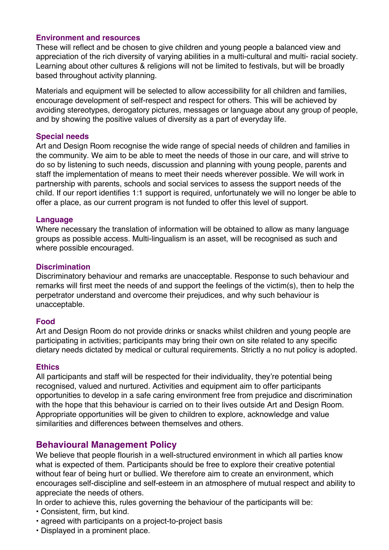#### **Environment and resources**

These will reflect and be chosen to give children and young people a balanced view and appreciation of the rich diversity of varying abilities in a multi-cultural and multi- racial society. Learning about other cultures & religions will not be limited to festivals, but will be broadly based throughout activity planning.

Materials and equipment will be selected to allow accessibility for all children and families, encourage development of self-respect and respect for others. This will be achieved by avoiding stereotypes, derogatory pictures, messages or language about any group of people, and by showing the positive values of diversity as a part of everyday life.

#### **Special needs**

Art and Design Room recognise the wide range of special needs of children and families in the community. We aim to be able to meet the needs of those in our care, and will strive to do so by listening to such needs, discussion and planning with young people, parents and staff the implementation of means to meet their needs wherever possible. We will work in partnership with parents, schools and social services to assess the support needs of the child. If our report identifies 1:1 support is required, unfortunately we will no longer be able to offer a place, as our current program is not funded to offer this level of support.

#### **Language**

Where necessary the translation of information will be obtained to allow as many language groups as possible access. Multi-lingualism is an asset, will be recognised as such and where possible encouraged.

#### **Discrimination**

Discriminatory behaviour and remarks are unacceptable. Response to such behaviour and remarks will first meet the needs of and support the feelings of the victim(s), then to help the perpetrator understand and overcome their prejudices, and why such behaviour is unacceptable.

#### **Food**

Art and Design Room do not provide drinks or snacks whilst children and young people are participating in activities; participants may bring their own on site related to any specific dietary needs dictated by medical or cultural requirements. Strictly a no nut policy is adopted.

#### **Ethics**

All participants and staff will be respected for their individuality, they're potential being recognised, valued and nurtured. Activities and equipment aim to offer participants opportunities to develop in a safe caring environment free from prejudice and discrimination with the hope that this behaviour is carried on to their lives outside Art and Design Room. Appropriate opportunities will be given to children to explore, acknowledge and value similarities and differences between themselves and others.

# **Behavioural Management Policy**

We believe that people flourish in a well-structured environment in which all parties know what is expected of them. Participants should be free to explore their creative potential without fear of being hurt or bullied. We therefore aim to create an environment, which encourages self-discipline and self-esteem in an atmosphere of mutual respect and ability to appreciate the needs of others.

In order to achieve this, rules governing the behaviour of the participants will be:

- Consistent, firm, but kind.
- agreed with participants on a project-to-project basis
- Displayed in a prominent place.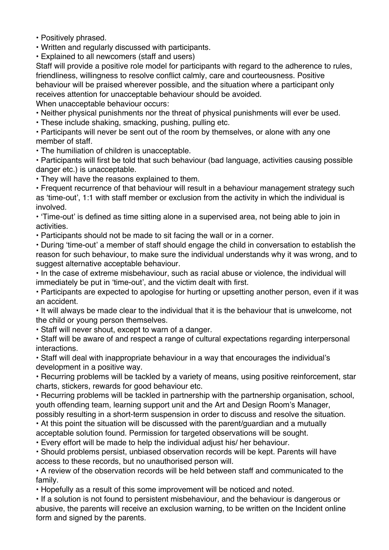• Positively phrased.

• Written and regularly discussed with participants.

• Explained to all newcomers (staff and users)

Staff will provide a positive role model for participants with regard to the adherence to rules, friendliness, willingness to resolve conflict calmly, care and courteousness. Positive behaviour will be praised wherever possible, and the situation where a participant only receives attention for unacceptable behaviour should be avoided. When unacceptable behaviour occurs:

• Neither physical punishments nor the threat of physical punishments will ever be used.

• These include shaking, smacking, pushing, pulling etc.

• Participants will never be sent out of the room by themselves, or alone with any one member of staff.

• The humiliation of children is unacceptable.

• Participants will first be told that such behaviour (bad language, activities causing possible danger etc.) is unacceptable.

• They will have the reasons explained to them.

• Frequent recurrence of that behaviour will result in a behaviour management strategy such as 'time-out', 1:1 with staff member or exclusion from the activity in which the individual is involved.

• 'Time-out' is defined as time sitting alone in a supervised area, not being able to join in activities.

• Participants should not be made to sit facing the wall or in a corner.

• During 'time-out' a member of staff should engage the child in conversation to establish the reason for such behaviour, to make sure the individual understands why it was wrong, and to suggest alternative acceptable behaviour.

• In the case of extreme misbehaviour, such as racial abuse or violence, the individual will immediately be put in 'time-out', and the victim dealt with first.

• Participants are expected to apologise for hurting or upsetting another person, even if it was an accident.

• It will always be made clear to the individual that it is the behaviour that is unwelcome, not the child or young person themselves.

• Staff will never shout, except to warn of a danger.

• Staff will be aware of and respect a range of cultural expectations regarding interpersonal interactions.

• Staff will deal with inappropriate behaviour in a way that encourages the individual's development in a positive way.

• Recurring problems will be tackled by a variety of means, using positive reinforcement, star charts, stickers, rewards for good behaviour etc.

• Recurring problems will be tackled in partnership with the partnership organisation, school, youth offending team, learning support unit and the Art and Design Room's Manager,

possibly resulting in a short-term suspension in order to discuss and resolve the situation.

• At this point the situation will be discussed with the parent/guardian and a mutually

acceptable solution found. Permission for targeted observations will be sought.

• Every effort will be made to help the individual adjust his/ her behaviour.

• Should problems persist, unbiased observation records will be kept. Parents will have access to these records, but no unauthorised person will.

• A review of the observation records will be held between staff and communicated to the family.

• Hopefully as a result of this some improvement will be noticed and noted.

• If a solution is not found to persistent misbehaviour, and the behaviour is dangerous or abusive, the parents will receive an exclusion warning, to be written on the Incident online form and signed by the parents.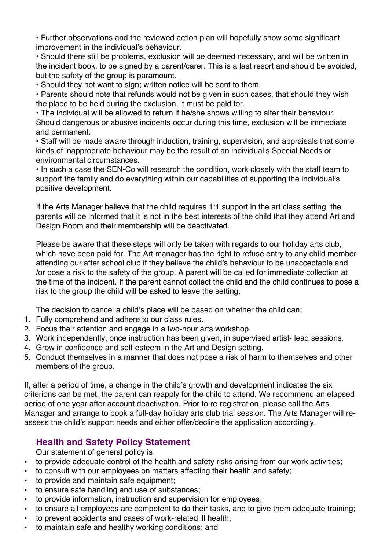• Further observations and the reviewed action plan will hopefully show some significant improvement in the individual's behaviour.

• Should there still be problems, exclusion will be deemed necessary, and will be written in the incident book, to be signed by a parent/carer. This is a last resort and should be avoided, but the safety of the group is paramount.

• Should they not want to sign; written notice will be sent to them.

• Parents should note that refunds would not be given in such cases, that should they wish the place to be held during the exclusion, it must be paid for.

• The individual will be allowed to return if he/she shows willing to alter their behaviour. Should dangerous or abusive incidents occur during this time, exclusion will be immediate and permanent.

• Staff will be made aware through induction, training, supervision, and appraisals that some kinds of inappropriate behaviour may be the result of an individual's Special Needs or environmental circumstances.

• In such a case the SEN-Co will research the condition, work closely with the staff team to support the family and do everything within our capabilities of supporting the individual's positive development.

If the Arts Manager believe that the child requires 1:1 support in the art class setting, the parents will be informed that it is not in the best interests of the child that they attend Art and Design Room and their membership will be deactivated.

Please be aware that these steps will only be taken with regards to our holiday arts club, which have been paid for. The Art manager has the right to refuse entry to any child member attending our after school club if they believe the child's behaviour to be unacceptable and /or pose a risk to the safety of the group. A parent will be called for immediate collection at the time of the incident. If the parent cannot collect the child and the child continues to pose a risk to the group the child will be asked to leave the setting.

The decision to cancel a child's place will be based on whether the child can;

- 1. Fully comprehend and adhere to our class rules.
- 2. Focus their attention and engage in a two-hour arts workshop.
- 3. Work independently, once instruction has been given, in supervised artist- lead sessions.
- 4. Grow in confidence and self-esteem in the Art and Design setting.
- 5. Conduct themselves in a manner that does not pose a risk of harm to themselves and other members of the group.

If, after a period of time, a change in the child's growth and development indicates the six criterions can be met, the parent can reapply for the child to attend. We recommend an elapsed period of one year after account deactivation. Prior to re-registration, please call the Arts Manager and arrange to book a full-day holiday arts club trial session. The Arts Manager will reassess the child's support needs and either offer/decline the application accordingly.

# **Health and Safety Policy Statement**

Our statement of general policy is:

- to provide adequate control of the health and safety risks arising from our work activities;
- to consult with our employees on matters affecting their health and safety;
- to provide and maintain safe equipment:
- to ensure safe handling and use of substances;
- to provide information, instruction and supervision for employees;
- to ensure all employees are competent to do their tasks, and to give them adequate training;
- to prevent accidents and cases of work-related ill health;
- to maintain safe and healthy working conditions; and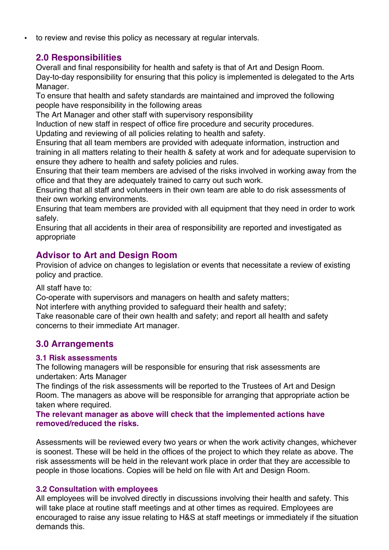• to review and revise this policy as necessary at regular intervals.

# **2.0 Responsibilities**

Overall and final responsibility for health and safety is that of Art and Design Room. Day-to-day responsibility for ensuring that this policy is implemented is delegated to the Arts Manager.

To ensure that health and safety standards are maintained and improved the following people have responsibility in the following areas

The Art Manager and other staff with supervisory responsibility

Induction of new staff in respect of office fire procedure and security procedures.

Updating and reviewing of all policies relating to health and safety.

Ensuring that all team members are provided with adequate information, instruction and training in all matters relating to their health & safety at work and for adequate supervision to ensure they adhere to health and safety policies and rules.

Ensuring that their team members are advised of the risks involved in working away from the office and that they are adequately trained to carry out such work.

Ensuring that all staff and volunteers in their own team are able to do risk assessments of their own working environments.

Ensuring that team members are provided with all equipment that they need in order to work safely.

Ensuring that all accidents in their area of responsibility are reported and investigated as appropriate

# **Advisor to Art and Design Room**

Provision of advice on changes to legislation or events that necessitate a review of existing policy and practice.

All staff have to:

Co-operate with supervisors and managers on health and safety matters;

Not interfere with anything provided to safeguard their health and safety;

Take reasonable care of their own health and safety; and report all health and safety concerns to their immediate Art manager.

# **3.0 Arrangements**

# **3.1 Risk assessments**

The following managers will be responsible for ensuring that risk assessments are undertaken: Arts Manager

The findings of the risk assessments will be reported to the Trustees of Art and Design Room. The managers as above will be responsible for arranging that appropriate action be taken where required.

**The relevant manager as above will check that the implemented actions have removed/reduced the risks.** 

Assessments will be reviewed every two years or when the work activity changes, whichever is soonest. These will be held in the offices of the project to which they relate as above. The risk assessments will be held in the relevant work place in order that they are accessible to people in those locations. Copies will be held on file with Art and Design Room.

# **3.2 Consultation with employees**

All employees will be involved directly in discussions involving their health and safety. This will take place at routine staff meetings and at other times as required. Employees are encouraged to raise any issue relating to H&S at staff meetings or immediately if the situation demands this.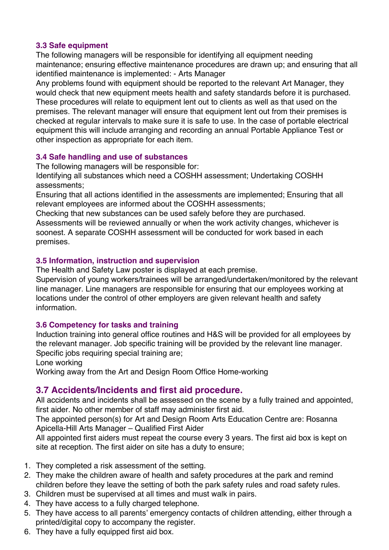# **3.3 Safe equipment**

The following managers will be responsible for identifying all equipment needing maintenance; ensuring effective maintenance procedures are drawn up; and ensuring that all identified maintenance is implemented: - Arts Manager

Any problems found with equipment should be reported to the relevant Art Manager, they would check that new equipment meets health and safety standards before it is purchased. These procedures will relate to equipment lent out to clients as well as that used on the premises. The relevant manager will ensure that equipment lent out from their premises is checked at regular intervals to make sure it is safe to use. In the case of portable electrical equipment this will include arranging and recording an annual Portable Appliance Test or other inspection as appropriate for each item.

# **3.4 Safe handling and use of substances**

The following managers will be responsible for:

Identifying all substances which need a COSHH assessment; Undertaking COSHH assessments;

Ensuring that all actions identified in the assessments are implemented; Ensuring that all relevant employees are informed about the COSHH assessments;

Checking that new substances can be used safely before they are purchased.

Assessments will be reviewed annually or when the work activity changes, whichever is soonest. A separate COSHH assessment will be conducted for work based in each premises.

# **3.5 Information, instruction and supervision**

The Health and Safety Law poster is displayed at each premise.

Supervision of young workers/trainees will be arranged/undertaken/monitored by the relevant line manager. Line managers are responsible for ensuring that our employees working at locations under the control of other employers are given relevant health and safety information.

# **3.6 Competency for tasks and training**

Induction training into general office routines and H&S will be provided for all employees by the relevant manager. Job specific training will be provided by the relevant line manager. Specific jobs requiring special training are;

Lone working

Working away from the Art and Design Room Office Home-working

# **3.7 Accidents/Incidents and first aid procedure.**

All accidents and incidents shall be assessed on the scene by a fully trained and appointed, first aider. No other member of staff may administer first aid.

The appointed person(s) for Art and Design Room Arts Education Centre are: Rosanna Apicella-Hill Arts Manager – Qualified First Aider

All appointed first aiders must repeat the course every 3 years. The first aid box is kept on site at reception. The first aider on site has a duty to ensure;

- 1. They completed a risk assessment of the setting.
- 2. They make the children aware of health and safety procedures at the park and remind children before they leave the setting of both the park safety rules and road safety rules.
- 3. Children must be supervised at all times and must walk in pairs.
- 4. They have access to a fully charged telephone.
- 5. They have access to all parents' emergency contacts of children attending, either through a printed/digital copy to accompany the register.
- 6. They have a fully equipped first aid box.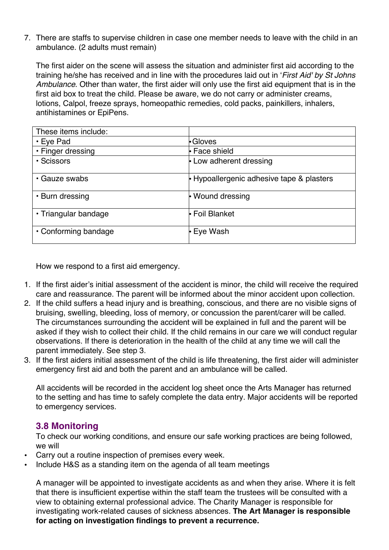7. There are staffs to supervise children in case one member needs to leave with the child in an ambulance. (2 adults must remain)

The first aider on the scene will assess the situation and administer first aid according to the training he/she has received and in line with the procedures laid out in '*First Aid' by St Johns Ambulance*. Other than water, the first aider will only use the first aid equipment that is in the first aid box to treat the child. Please be aware, we do not carry or administer creams, lotions, Calpol, freeze sprays, homeopathic remedies, cold packs, painkillers, inhalers, antihistamines or EpiPens.

| These items include: |                                         |
|----------------------|-----------------------------------------|
| $\cdot$ Eye Pad      | •Gloves                                 |
| • Finger dressing    | l• Face shield                          |
| • Scissors           | • Low adherent dressing                 |
| • Gauze swabs        | Hypoallergenic adhesive tape & plasters |
| • Burn dressing      | • Wound dressing                        |
| • Triangular bandage | <b>• Foil Blanket</b>                   |
| • Conforming bandage | <b>Eye Wash</b>                         |

How we respond to a first aid emergency.

- 1. If the first aider's initial assessment of the accident is minor, the child will receive the required care and reassurance. The parent will be informed about the minor accident upon collection.
- 2. If the child suffers a head injury and is breathing, conscious, and there are no visible signs of bruising, swelling, bleeding, loss of memory, or concussion the parent/carer will be called. The circumstances surrounding the accident will be explained in full and the parent will be asked if they wish to collect their child. If the child remains in our care we will conduct regular observations. If there is deterioration in the health of the child at any time we will call the parent immediately. See step 3.
- 3. If the first aiders initial assessment of the child is life threatening, the first aider will administer emergency first aid and both the parent and an ambulance will be called.

All accidents will be recorded in the accident log sheet once the Arts Manager has returned to the setting and has time to safely complete the data entry. Major accidents will be reported to emergency services.

# **3.8 Monitoring**

To check our working conditions, and ensure our safe working practices are being followed, we will

- Carry out a routine inspection of premises every week.
- Include H&S as a standing item on the agenda of all team meetings

A manager will be appointed to investigate accidents as and when they arise. Where it is felt that there is insufficient expertise within the staff team the trustees will be consulted with a view to obtaining external professional advice. The Charity Manager is responsible for investigating work-related causes of sickness absences. **The Art Manager is responsible for acting on investigation findings to prevent a recurrence.**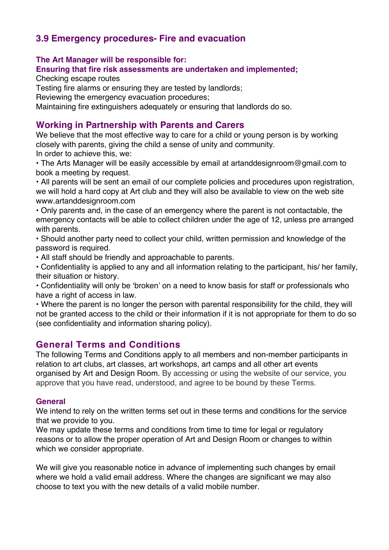# **3.9 Emergency procedures- Fire and evacuation**

**The Art Manager will be responsible for:**

**Ensuring that fire risk assessments are undertaken and implemented;** 

Checking escape routes

Testing fire alarms or ensuring they are tested by landlords;

Reviewing the emergency evacuation procedures;

Maintaining fire extinguishers adequately or ensuring that landlords do so.

# **Working in Partnership with Parents and Carers**

We believe that the most effective way to care for a child or young person is by working closely with parents, giving the child a sense of unity and community.

In order to achieve this, we:

• The Arts Manager will be easily accessible by email at artanddesignroom@gmail.com to book a meeting by request.

• All parents will be sent an email of our complete policies and procedures upon registration, we will hold a hard copy at Art club and they will also be available to view on the web site www.artanddesignroom.com

• Only parents and, in the case of an emergency where the parent is not contactable, the emergency contacts will be able to collect children under the age of 12, unless pre arranged with parents.

• Should another party need to collect your child, written permission and knowledge of the password is required.

• All staff should be friendly and approachable to parents.

• Confidentiality is applied to any and all information relating to the participant, his/ her family, their situation or history.

• Confidentiality will only be 'broken' on a need to know basis for staff or professionals who have a right of access in law.

• Where the parent is no longer the person with parental responsibility for the child, they will not be granted access to the child or their information if it is not appropriate for them to do so (see confidentiality and information sharing policy).

# **General Terms and Conditions**

The following Terms and Conditions apply to all members and non-member participants in relation to art clubs, art classes, art workshops, art camps and all other art events organised by Art and Design Room. By accessing or using the website of our service, you approve that you have read, understood, and agree to be bound by these Terms.

#### **General**

We intend to rely on the written terms set out in these terms and conditions for the service that we provide to you.

We may update these terms and conditions from time to time for legal or regulatory reasons or to allow the proper operation of Art and Design Room or changes to within which we consider appropriate.

We will give you reasonable notice in advance of implementing such changes by email where we hold a valid email address. Where the changes are significant we may also choose to text you with the new details of a valid mobile number.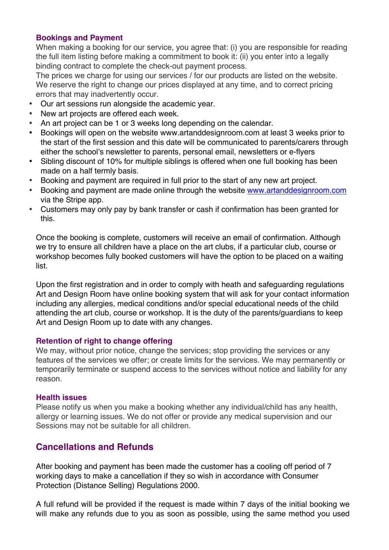#### **Bookings and Payment**

When making a booking for our service, you agree that: (i) you are responsible for reading the full item listing before making a commitment to book it: (ii) you enter into a legally binding contract to complete the check-out payment process.

The prices we charge for using our services / for our products are listed on the website. We reserve the right to change our prices displayed at any time, and to correct pricing errors that may inadvertently occur.

- Our art sessions run alongside the academic year.
- New art projects are offered each week.
- An art project can be 1 or 3 weeks long depending on the calendar.
- Bookings will open on the website www.artanddesignroom.com at least 3 weeks prior to the start of the first session and this date will be communicated to parents/carers through either the school's newsletter to parents, personal email, newsletters or e-flyers
- Sibling discount of 10% for multiple siblings is offered when one full booking has been made on a half termly basis.
- Booking and payment are required in full prior to the start of any new art project.
- Booking and payment are made online through the website www.artanddesignroom.com via the Stripe app.
- Customers may only pay by bank transfer or cash if confirmation has been granted for this.

Once the booking is complete, customers will receive an email of confirmation. Although we try to ensure all children have a place on the art clubs, if a particular club, course or workshop becomes fully booked customers will have the option to be placed on a waiting list.

Upon the first registration and in order to comply with heath and safeguarding regulations Art and Design Room have online booking system that will ask for your contact information including any allergies, medical conditions and/or special educational needs of the child attending the art club, course or workshop. It is the duty of the parents/guardians to keep Art and Design Room up to date with any changes.

#### **Retention of right to change offering**

We may, without prior notice, change the services; stop providing the services or any features of the services we offer; or create limits for the services. We may permanently or temporarily terminate or suspend access to the services without notice and liability for any reason.

#### **Health issues**

Please notify us when you make a booking whether any individual/child has any health, allergy or learning issues. We do not offer or provide any medical supervision and our Sessions may not be suitable for all children.

# **Cancellations and Refunds**

After booking and payment has been made the customer has a cooling off period of 7 working days to make a cancellation if they so wish in accordance with Consumer Protection (Distance Selling) Regulations 2000.

A full refund will be provided if the request is made within 7 days of the initial booking we will make any refunds due to you as soon as possible, using the same method you used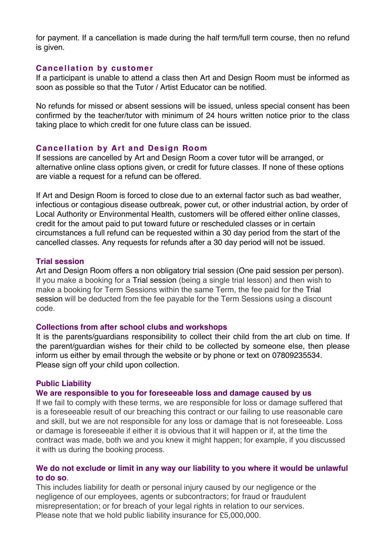for payment. If a cancellation is made during the half term/full term course, then no refund is given.

#### **Cancellation by customer**

If a participant is unable to attend a class then Art and Design Room must be informed as soon as possible so that the Tutor / Artist Educator can be notified.

No refunds for missed or absent sessions will be issued, unless special consent has been confirmed by the teacher/tutor with minimum of 24 hours written notice prior to the class taking place to which credit for one future class can be issued.

#### **Cancellation by Art and Design Room**

If sessions are cancelled by Art and Design Room a cover tutor will be arranged, or alternative online class options given, or credit for future classes. If none of these options are viable a request for a refund can be offered.

If Art and Design Room is forced to close due to an external factor such as bad weather, infectious or contagious disease outbreak, power cut, or other industrial action, by order of Local Authority or Environmental Health, customers will be offered either online classes, credit for the amout paid to put toward future or rescheduled classes or in certain circumstances a full refund can be requested within a 30 day period from the start of the cancelled classes. Any requests for refunds after a 30 day period will not be issued.

#### **Trial session**

Art and Design Room offers a non obligatory trial session (One paid session per person). If you make a booking for a Trial session (being a single trial lesson) and then wish to make a booking for Term Sessions within the same Term, the fee paid for the Trial session will be deducted from the fee payable for the Term Sessions using a discount code.

#### **Collections from after school clubs and workshops**

It is the parents/guardians responsibility to collect their child from the art club on time. If the parent/guardian wishes for their child to be collected by someone else, then please inform us either by email through the website or by phone or text on 07809235534. Please sign off your child upon collection.

#### **Public Liability**

#### **We are responsible to you for foreseeable loss and damage caused by us**

If we fail to comply with these terms, we are responsible for loss or damage suffered that is a foreseeable result of our breaching this contract or our failing to use reasonable care and skill, but we are not responsible for any loss or damage that is not foreseeable. Loss or damage is foreseeable if either it is obvious that it will happen or if, at the time the contract was made, both we and you knew it might happen; for example, if you discussed it with us during the booking process.

#### **We do not exclude or limit in any way our liability to you where it would be unlawful to do so**.

This includes liability for death or personal injury caused by our negligence or the negligence of our employees, agents or subcontractors; for fraud or fraudulent misrepresentation; or for breach of your legal rights in relation to our services. Please note that we hold public liability insurance for £5,000,000.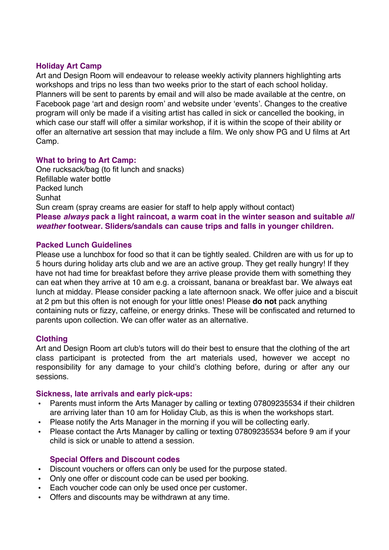#### **Holiday Art Camp**

Art and Design Room will endeavour to release weekly activity planners highlighting arts workshops and trips no less than two weeks prior to the start of each school holiday. Planners will be sent to parents by email and will also be made available at the centre, on Facebook page 'art and design room' and website under 'events'. Changes to the creative program will only be made if a visiting artist has called in sick or cancelled the booking, in which case our staff will offer a similar workshop, if it is within the scope of their ability or offer an alternative art session that may include a film. We only show PG and U films at Art Camp.

#### **What to bring to Art Camp:**

One rucksack/bag (to fit lunch and snacks) Refillable water bottle Packed lunch Sunhat Sun cream (spray creams are easier for staff to help apply without contact) **Please** *always* **pack a light raincoat, a warm coat in the winter season and suitable** *all weather* **footwear. Sliders/sandals can cause trips and falls in younger children.** 

#### **Packed Lunch Guidelines**

Please use a lunchbox for food so that it can be tightly sealed. Children are with us for up to 5 hours during holiday arts club and we are an active group. They get really hungry! If they have not had time for breakfast before they arrive please provide them with something they can eat when they arrive at 10 am e.g. a croissant, banana or breakfast bar. We always eat lunch at midday. Please consider packing a late afternoon snack. We offer juice and a biscuit at 2 pm but this often is not enough for your little ones! Please **do not** pack anything containing nuts or fizzy, caffeine, or energy drinks. These will be confiscated and returned to parents upon collection. We can offer water as an alternative.

#### **Clothing**

Art and Design Room art club's tutors will do their best to ensure that the clothing of the art class participant is protected from the art materials used, however we accept no responsibility for any damage to your child's clothing before, during or after any our sessions.

#### **Sickness, late arrivals and early pick-ups:**

- Parents must inform the Arts Manager by calling or texting 07809235534 if their children are arriving later than 10 am for Holiday Club, as this is when the workshops start.
- Please notify the Arts Manager in the morning if you will be collecting early.
- Please contact the Arts Manager by calling or texting 07809235534 before 9 am if your child is sick or unable to attend a session.

#### **Special Offers and Discount codes**

- Discount vouchers or offers can only be used for the purpose stated.
- Only one offer or discount code can be used per booking.
- Each voucher code can only be used once per customer.
- Offers and discounts may be withdrawn at any time.